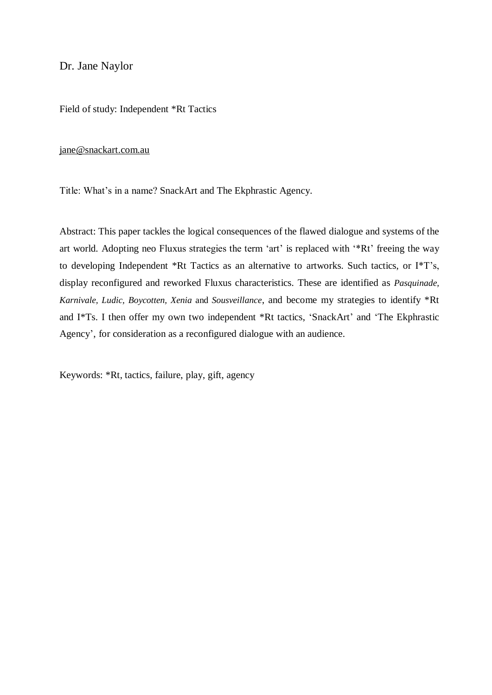Dr. Jane Naylor

Field of study: Independent \*Rt Tactics

#### [jane@snackart.com.au](mailto:jane@snackart.com.au)

Title: What's in a name? SnackArt and The Ekphrastic Agency.

Abstract: This paper tackles the logical consequences of the flawed dialogue and systems of the art world. Adopting neo Fluxus strategies the term 'art' is replaced with '\*Rt' freeing the way to developing Independent \*Rt Tactics as an alternative to artworks. Such tactics, or I\*T's, display reconfigured and reworked Fluxus characteristics. These are identified as *Pasquinade, Karnivale, Ludic, Boycotten, Xenia* and *Sousveillance*, and become my strategies to identify \*Rt and I\*Ts. I then offer my own two independent \*Rt tactics, 'SnackArt' and 'The Ekphrastic Agency', for consideration as a reconfigured dialogue with an audience.

Keywords: \*Rt, tactics, failure, play, gift, agency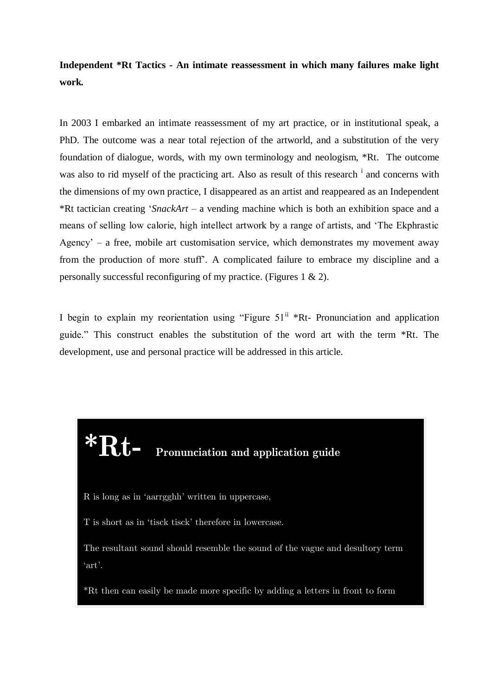**Independent \*Rt Tactics - An intimate reassessment in which many failures make light work***.*

In 2003 I embarked an intimate reassessment of my art practice, or in institutional speak, a PhD. The outcome was a near total rejection of the artworld, and a substitution of the very foundation of dialogue, words, with my own terminology and neologism, \*Rt. The outcome was also to rid myself of the practicing art. Also as result of this research <sup>i</sup> and concerns with the dimensions of my own practice, I disappeared as an artist and reappeared as an Independent \*Rt tactician creating '*SnackArt* – a vending machine which is both an exhibition space and a means of selling low calorie, high intellect artwork by a range of artists, and 'The Ekphrastic Agency' – a free, mobile art customisation service, which demonstrates my movement away from the production of more stuff'. A complicated failure to embrace my discipline and a personally successful reconfiguring of my practice. (Figures 1 & 2).

I begin to explain my reorientation using "Figure  $51^{\text{ii}}$  \*Rt- Pronunciation and application guide." This construct enables the substitution of the word art with the term \*Rt. The development, use and personal practice will be addressed in this article.

# **\*Rt- Pronunciation and application guide**

R is long as in 'aarrgghh' written in uppercase,

words such as f\*Rt such as f\*Rt such as f\*Rt such as f\*Rt such as f\*Rt such as f\*Rt such as f\*Rt such as f\*Rt<br>The such as f\*Rt such as f\*Rt such as f\*Rt such as f\*Rt such as f\*Rt such as f\*Rt such as f\*Rt such as f\*Rt su

T is short as in 'tisck tisck' therefore in lowercase.

The resultant sound should resemble the sound of the vague and desultory term 'art'.

\*Rt then can easily be made more specific by adding a letters in front to form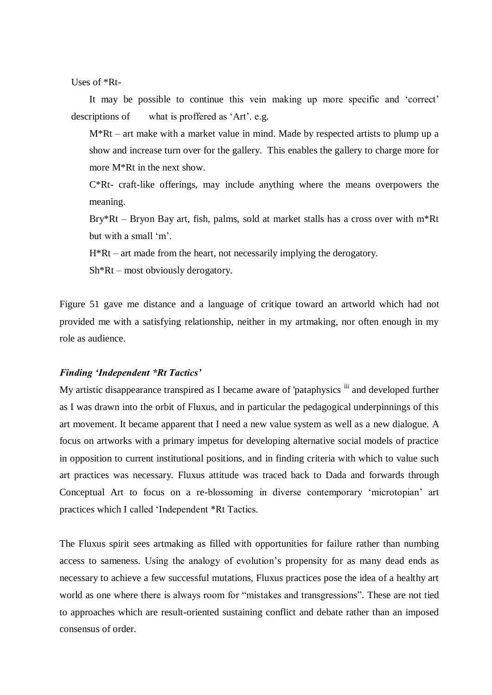Uses of \*Rt-

It may be possible to continue this vein making up more specific and 'correct' descriptions of what is proffered as 'Art'. e.g.

M\*Rt – art make with a market value in mind. Made by respected artists to plump up a show and increase turn over for the gallery. This enables the gallery to charge more for more M\*Rt in the next show.

C\*Rt- craft-like offerings, may include anything where the means overpowers the meaning.

Bry\*Rt – Bryon Bay art, fish, palms, sold at market stalls has a cross over with m\*Rt but with a small 'm'.

H\*Rt – art made from the heart, not necessarily implying the derogatory.

Sh\*Rt – most obviously derogatory.

Figure 51 gave me distance and a language of critique toward an artworld which had not provided me with a satisfying relationship, neither in my artmaking, nor often enough in my role as audience.

#### *Finding 'Independent \*Rt Tactics'*

My artistic disappearance transpired as I became aware of 'pataphysics <sup>iii</sup> and developed further as I was drawn into the orbit of Fluxus, and in particular the pedagogical underpinnings of this art movement. It became apparent that I need a new value system as well as a new dialogue. A focus on artworks with a primary impetus for developing alternative social models of practice in opposition to current institutional positions, and in finding criteria with which to value such art practices was necessary. Fluxus attitude was traced back to Dada and forwards through Conceptual Art to focus on a re-blossoming in diverse contemporary 'microtopian' art practices which I called 'Independent \*Rt Tactics.

The Fluxus spirit sees artmaking as filled with opportunities for failure rather than numbing access to sameness. Using the analogy of evolution's propensity for as many dead ends as necessary to achieve a few successful mutations, Fluxus practices pose the idea of a healthy art world as one where there is always room for "mistakes and transgressions". These are not tied to approaches which are result-oriented sustaining conflict and debate rather than an imposed consensus of order.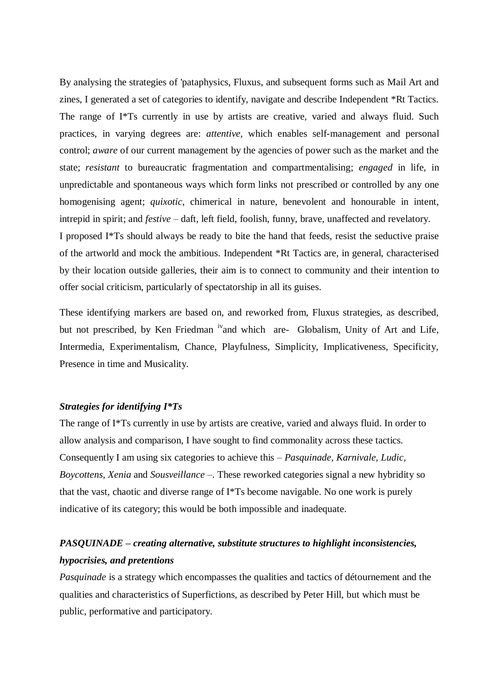By analysing the strategies of 'pataphysics, Fluxus, and subsequent forms such as Mail Art and zines, I generated a set of categories to identify, navigate and describe Independent \*Rt Tactics. The range of I\*Ts currently in use by artists are creative, varied and always fluid. Such practices, in varying degrees are: *attentive*, which enables self-management and personal control; *aware* of our current management by the agencies of power such as the market and the state; *resistant* to bureaucratic fragmentation and compartmentalising; *engaged* in life, in unpredictable and spontaneous ways which form links not prescribed or controlled by any one homogenising agent; *quixotic*, chimerical in nature, benevolent and honourable in intent, intrepid in spirit; and *festive –* daft, left field, foolish, funny, brave, unaffected and revelatory. I proposed I\*Ts should always be ready to bite the hand that feeds, resist the seductive praise of the artworld and mock the ambitious. Independent \*Rt Tactics are, in general, characterised by their location outside galleries, their aim is to connect to community and their intention to offer social criticism, particularly of spectatorship in all its guises.

These identifying markers are based on, and reworked from, Fluxus strategies, as described, but not prescribed, by Ken Friedman <sup>iv</sup>and which are- Globalism, Unity of Art and Life, Intermedia, Experimentalism, Chance, Playfulness, Simplicity, Implicativeness, Specificity, Presence in time and Musicality.

#### *Strategies for identifying I\*Ts*

The range of I\*Ts currently in use by artists are creative, varied and always fluid. In order to allow analysis and comparison, I have sought to find commonality across these tactics. Consequently I am using six categories to achieve this – *Pasquinade, Karnivale, Ludic, Boycottens, Xenia* and *Sousveillance* –. These reworked categories signal a new hybridity so that the vast, chaotic and diverse range of I\*Ts become navigable. No one work is purely indicative of its category; this would be both impossible and inadequate.

# *PASQUINADE – creating alternative, substitute structures to highlight inconsistencies, hypocrisies, and pretentions*

*Pasquinade* is a strategy which encompasses the qualities and tactics of détournement and the qualities and characteristics of Superfictions, as described by Peter Hill, but which must be public, performative and participatory.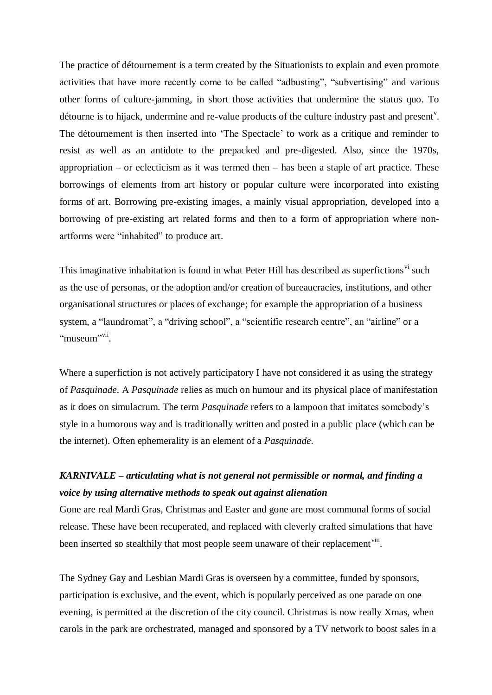The practice of détournement is a term created by the Situationists to explain and even promote activities that have more recently come to be called "adbusting", "subvertising" and various other forms of culture-jamming, in short those activities that undermine the status quo. To détourne is to hijack, undermine and re-value products of the culture industry past and present<sup>y</sup>. The détournement is then inserted into 'The Spectacle' to work as a critique and reminder to resist as well as an antidote to the prepacked and pre-digested. Also, since the 1970s, appropriation – or eclecticism as it was termed then – has been a staple of art practice. These borrowings of elements from art history or popular culture were incorporated into existing forms of art. Borrowing pre-existing images, a mainly visual appropriation, developed into a borrowing of pre-existing art related forms and then to a form of appropriation where nonartforms were "inhabited" to produce art.

This imaginative inhabitation is found in what Peter Hill has described as superfictions<sup>vi</sup> such as the use of personas, or the adoption and/or creation of bureaucracies, institutions, and other organisational structures or places of exchange; for example the appropriation of a business system, a "laundromat", a "driving school", a "scientific research centre", an "airline" or a "museum"<sup>vii</sup>.

Where a superfiction is not actively participatory I have not considered it as using the strategy of *Pasquinade*. A *Pasquinade* relies as much on humour and its physical place of manifestation as it does on simulacrum. The term *Pasquinade* refers to a lampoon that imitates somebody's style in a humorous way and is traditionally written and posted in a public place (which can be the internet). Often ephemerality is an element of a *Pasquinade*.

# *KARNIVALE – articulating what is not general not permissible or normal, and finding a voice by using alternative methods to speak out against alienation*

Gone are real Mardi Gras, Christmas and Easter and gone are most communal forms of social release. These have been recuperated, and replaced with cleverly crafted simulations that have been inserted so stealthily that most people seem unaware of their replacement<sup>viii</sup>.

The Sydney Gay and Lesbian Mardi Gras is overseen by a committee, funded by sponsors, participation is exclusive, and the event, which is popularly perceived as one parade on one evening, is permitted at the discretion of the city council. Christmas is now really Xmas, when carols in the park are orchestrated, managed and sponsored by a TV network to boost sales in a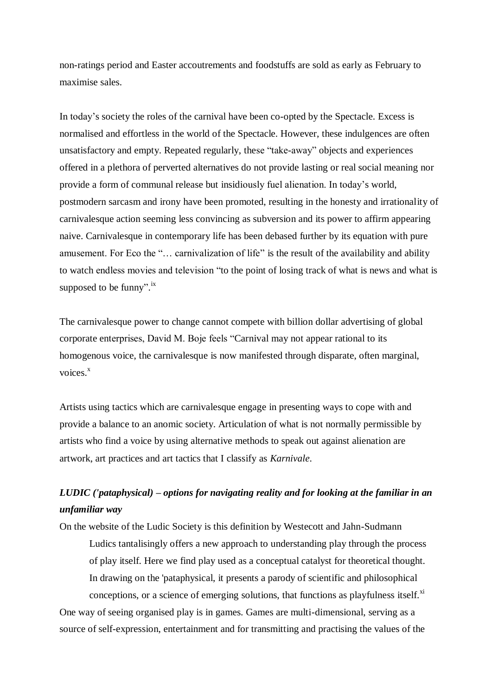non-ratings period and Easter accoutrements and foodstuffs are sold as early as February to maximise sales.

In today's society the roles of the carnival have been co-opted by the Spectacle. Excess is normalised and effortless in the world of the Spectacle. However, these indulgences are often unsatisfactory and empty. Repeated regularly, these "take-away" objects and experiences offered in a plethora of perverted alternatives do not provide lasting or real social meaning nor provide a form of communal release but insidiously fuel alienation. In today's world, postmodern sarcasm and irony have been promoted, resulting in the honesty and irrationality of carnivalesque action seeming less convincing as subversion and its power to affirm appearing naive. Carnivalesque in contemporary life has been debased further by its equation with pure amusement. For Eco the "… carnivalization of life" is the result of the availability and ability to watch endless movies and television "to the point of losing track of what is news and what is supposed to be funny".<sup>ix</sup>

The carnivalesque power to change cannot compete with billion dollar advertising of global corporate enterprises, David M. Boje feels "Carnival may not appear rational to its homogenous voice, the carnivalesque is now manifested through disparate, often marginal, voices.<sup>x</sup>

Artists using tactics which are carnivalesque engage in presenting ways to cope with and provide a balance to an anomic society. Articulation of what is not normally permissible by artists who find a voice by using alternative methods to speak out against alienation are artwork, art practices and art tactics that I classify as *Karnivale*.

# *LUDIC ('pataphysical) – options for navigating reality and for looking at the familiar in an unfamiliar way*

On the website of the Ludic Society is this definition by Westecott and Jahn-Sudmann Ludics tantalisingly offers a new approach to understanding play through the process of play itself. Here we find play used as a conceptual catalyst for theoretical thought. In drawing on the 'pataphysical, it presents a parody of scientific and philosophical conceptions, or a science of emerging solutions, that functions as playfulness itself. $x$ <sup>i</sup> One way of seeing organised play is in games. Games are multi-dimensional, serving as a source of self-expression, entertainment and for transmitting and practising the values of the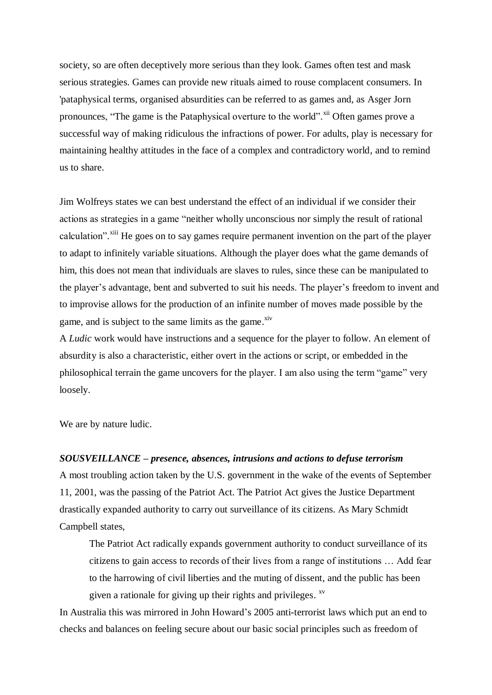society, so are often deceptively more serious than they look. Games often test and mask serious strategies. Games can provide new rituals aimed to rouse complacent consumers. In 'pataphysical terms, organised absurdities can be referred to as games and, as Asger Jorn pronounces, "The game is the Pataphysical overture to the world". Xii Often games prove a successful way of making ridiculous the infractions of power. For adults, play is necessary for maintaining healthy attitudes in the face of a complex and contradictory world, and to remind us to share.

Jim Wolfreys states we can best understand the effect of an individual if we consider their actions as strategies in a game "neither wholly unconscious nor simply the result of rational calculation".<sup>xiii</sup> He goes on to say games require permanent invention on the part of the player to adapt to infinitely variable situations. Although the player does what the game demands of him, this does not mean that individuals are slaves to rules, since these can be manipulated to the player's advantage, bent and subverted to suit his needs. The player's freedom to invent and to improvise allows for the production of an infinite number of moves made possible by the game, and is subject to the same limits as the game.<sup>xiv</sup>

A *Ludic* work would have instructions and a sequence for the player to follow. An element of absurdity is also a characteristic, either overt in the actions or script, or embedded in the philosophical terrain the game uncovers for the player. I am also using the term "game" very loosely.

We are by nature ludic.

#### *SOUSVEILLANCE – presence, absences, intrusions and actions to defuse terrorism*

A most troubling action taken by the U.S. government in the wake of the events of September 11, 2001, was the passing of the Patriot Act. The Patriot Act gives the Justice Department drastically expanded authority to carry out surveillance of its citizens. As Mary Schmidt Campbell states,

The Patriot Act radically expands government authority to conduct surveillance of its citizens to gain access to records of their lives from a range of institutions … Add fear to the harrowing of civil liberties and the muting of dissent, and the public has been given a rationale for giving up their rights and privileges.  $\frac{xy}{x}$ 

In Australia this was mirrored in John Howard's 2005 anti-terrorist laws which put an end to checks and balances on feeling secure about our basic social principles such as freedom of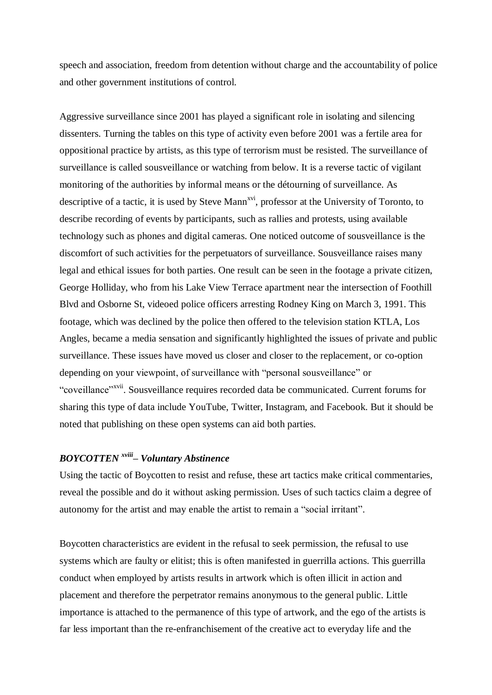speech and association, freedom from detention without charge and the accountability of police and other government institutions of control.

Aggressive surveillance since 2001 has played a significant role in isolating and silencing dissenters. Turning the tables on this type of activity even before 2001 was a fertile area for oppositional practice by artists, as this type of terrorism must be resisted. The surveillance of surveillance is called sousveillance or watching from below. It is a reverse tactic of vigilant monitoring of the authorities by informal means or the détourning of surveillance. As descriptive of a tactic, it is used by Steve Mann<sup>xvi</sup>, professor at the University of Toronto, to describe recording of events by participants, such as rallies and protests, using available technology such as phones and digital cameras. One noticed outcome of sousveillance is the discomfort of such activities for the perpetuators of surveillance. Sousveillance raises many legal and ethical issues for both parties. One result can be seen in the footage a private citizen, George Holliday, who from his Lake View Terrace apartment near the intersection of Foothill Blvd and Osborne St, videoed police officers arresting Rodney King on March 3, 1991. This footage, which was declined by the police then offered to the television station KTLA, Los Angles, became a media sensation and significantly highlighted the issues of private and public surveillance. These issues have moved us closer and closer to the replacement, or co-option depending on your viewpoint, of surveillance with "personal sousveillance" or "coveillance"<sup>xvii</sup>. Sousveillance requires recorded data be communicated. Current forums for sharing this type of data include YouTube, Twitter, Instagram, and Facebook. But it should be noted that publishing on these open systems can aid both parties.

## *BOYCOTTEN xviii – Voluntary Abstinence*

Using the tactic of Boycotten to resist and refuse, these art tactics make critical commentaries, reveal the possible and do it without asking permission. Uses of such tactics claim a degree of autonomy for the artist and may enable the artist to remain a "social irritant".

Boycotten characteristics are evident in the refusal to seek permission, the refusal to use systems which are faulty or elitist; this is often manifested in guerrilla actions. This guerrilla conduct when employed by artists results in artwork which is often illicit in action and placement and therefore the perpetrator remains anonymous to the general public. Little importance is attached to the permanence of this type of artwork, and the ego of the artists is far less important than the re-enfranchisement of the creative act to everyday life and the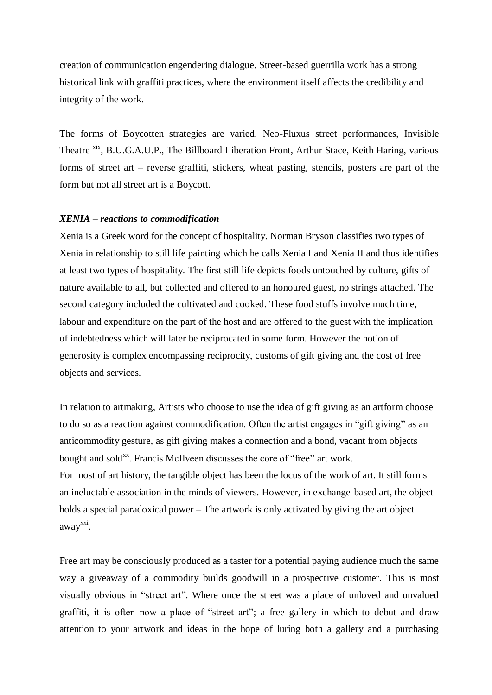creation of communication engendering dialogue. Street-based guerrilla work has a strong historical link with graffiti practices, where the environment itself affects the credibility and integrity of the work.

The forms of Boycotten strategies are varied. Neo-Fluxus street performances, Invisible Theatre <sup>xix</sup>, B.U.G.A.U.P., The Billboard Liberation Front, Arthur Stace, Keith Haring, various forms of street art – reverse graffiti, stickers, wheat pasting, stencils, posters are part of the form but not all street art is a Boycott.

#### *XENIA – reactions to commodification*

Xenia is a Greek word for the concept of hospitality. Norman Bryson classifies two types of Xenia in relationship to still life painting which he calls Xenia I and Xenia II and thus identifies at least two types of hospitality. The first still life depicts foods untouched by culture, gifts of nature available to all, but collected and offered to an honoured guest, no strings attached. The second category included the cultivated and cooked. These food stuffs involve much time, labour and expenditure on the part of the host and are offered to the guest with the implication of indebtedness which will later be reciprocated in some form. However the notion of generosity is complex encompassing reciprocity, customs of gift giving and the cost of free objects and services.

In relation to artmaking, Artists who choose to use the idea of gift giving as an artform choose to do so as a reaction against commodification. Often the artist engages in "gift giving" as an anticommodity gesture, as gift giving makes a connection and a bond, vacant from objects bought and sold<sup>xx</sup>. Francis McIlveen discusses the core of "free" art work. For most of art history, the tangible object has been the locus of the work of art. It still forms an ineluctable association in the minds of viewers. However, in exchange-based art, the object holds a special paradoxical power – The artwork is only activated by giving the art object away<sup>xxi</sup>.

Free art may be consciously produced as a taster for a potential paying audience much the same way a giveaway of a commodity builds goodwill in a prospective customer. This is most visually obvious in "street art". Where once the street was a place of unloved and unvalued graffiti, it is often now a place of "street art"; a free gallery in which to debut and draw attention to your artwork and ideas in the hope of luring both a gallery and a purchasing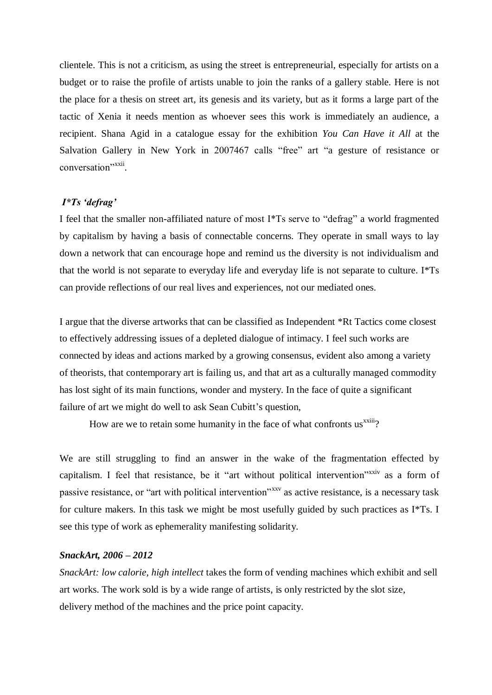clientele. This is not a criticism, as using the street is entrepreneurial, especially for artists on a budget or to raise the profile of artists unable to join the ranks of a gallery stable. Here is not the place for a thesis on street art, its genesis and its variety, but as it forms a large part of the tactic of Xenia it needs mention as whoever sees this work is immediately an audience, a recipient. Shana Agid in a catalogue essay for the exhibition *You Can Have it All* at the Salvation Gallery in New York in 2007467 calls "free" art "a gesture of resistance or conversation"<sup>xxii</sup>.

#### *I\*Ts 'defrag'*

I feel that the smaller non-affiliated nature of most I\*Ts serve to "defrag" a world fragmented by capitalism by having a basis of connectable concerns. They operate in small ways to lay down a network that can encourage hope and remind us the diversity is not individualism and that the world is not separate to everyday life and everyday life is not separate to culture. I\*Ts can provide reflections of our real lives and experiences, not our mediated ones.

I argue that the diverse artworks that can be classified as Independent \*Rt Tactics come closest to effectively addressing issues of a depleted dialogue of intimacy. I feel such works are connected by ideas and actions marked by a growing consensus, evident also among a variety of theorists, that contemporary art is failing us, and that art as a culturally managed commodity has lost sight of its main functions, wonder and mystery. In the face of quite a significant failure of art we might do well to ask Sean Cubitt's question,

How are we to retain some humanity in the face of what confronts us<sup>xxiii</sup>?

We are still struggling to find an answer in the wake of the fragmentation effected by capitalism. I feel that resistance, be it "art without political intervention"<sup>xxiv</sup> as a form of passive resistance, or "art with political intervention"xxv as active resistance, is a necessary task for culture makers. In this task we might be most usefully guided by such practices as I\*Ts. I see this type of work as ephemerality manifesting solidarity.

#### *SnackArt, 2006 – 2012*

*SnackArt: low calorie, high intellect* takes the form of vending machines which exhibit and sell art works. The work sold is by a wide range of artists, is only restricted by the slot size, delivery method of the machines and the price point capacity.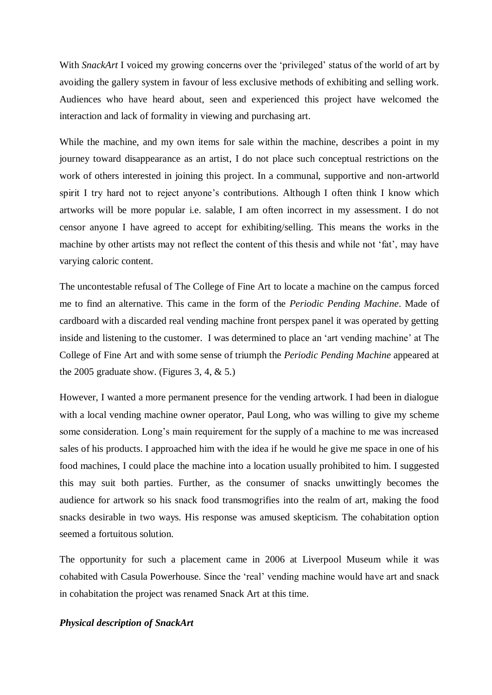With *SnackArt* I voiced my growing concerns over the 'privileged' status of the world of art by avoiding the gallery system in favour of less exclusive methods of exhibiting and selling work. Audiences who have heard about, seen and experienced this project have welcomed the interaction and lack of formality in viewing and purchasing art.

While the machine, and my own items for sale within the machine, describes a point in my journey toward disappearance as an artist, I do not place such conceptual restrictions on the work of others interested in joining this project. In a communal, supportive and non-artworld spirit I try hard not to reject anyone's contributions. Although I often think I know which artworks will be more popular i.e. salable, I am often incorrect in my assessment. I do not censor anyone I have agreed to accept for exhibiting/selling. This means the works in the machine by other artists may not reflect the content of this thesis and while not 'fat', may have varying caloric content.

The uncontestable refusal of The College of Fine Art to locate a machine on the campus forced me to find an alternative. This came in the form of the *Periodic Pending Machine*. Made of cardboard with a discarded real vending machine front perspex panel it was operated by getting inside and listening to the customer. I was determined to place an 'art vending machine' at The College of Fine Art and with some sense of triumph the *Periodic Pending Machine* appeared at the 2005 graduate show. (Figures 3, 4,  $\&$  5.)

However, I wanted a more permanent presence for the vending artwork. I had been in dialogue with a local vending machine owner operator, Paul Long, who was willing to give my scheme some consideration. Long's main requirement for the supply of a machine to me was increased sales of his products. I approached him with the idea if he would he give me space in one of his food machines, I could place the machine into a location usually prohibited to him. I suggested this may suit both parties. Further, as the consumer of snacks unwittingly becomes the audience for artwork so his snack food transmogrifies into the realm of art, making the food snacks desirable in two ways. His response was amused skepticism. The cohabitation option seemed a fortuitous solution.

The opportunity for such a placement came in 2006 at Liverpool Museum while it was cohabited with Casula Powerhouse. Since the 'real' vending machine would have art and snack in cohabitation the project was renamed Snack Art at this time.

#### *Physical description of SnackArt*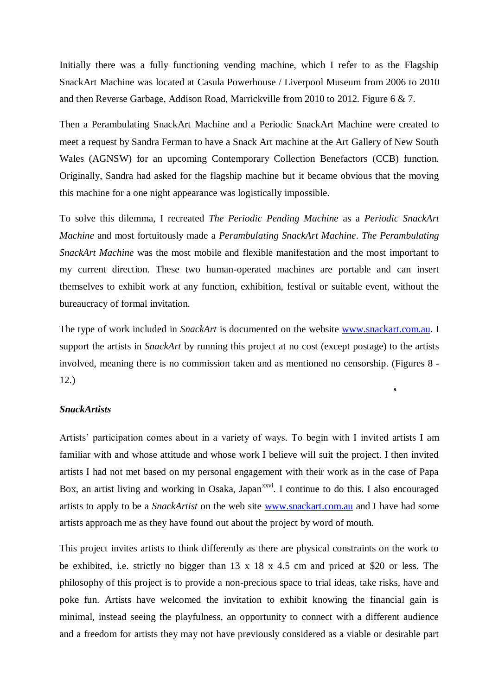Initially there was a fully functioning vending machine, which I refer to as the Flagship SnackArt Machine was located at Casula Powerhouse / Liverpool Museum from 2006 to 2010 and then Reverse Garbage, Addison Road, Marrickville from 2010 to 2012. Figure 6 & 7.

Then a Perambulating SnackArt Machine and a Periodic SnackArt Machine were created to meet a request by Sandra Ferman to have a Snack Art machine at the Art Gallery of New South Wales (AGNSW) for an upcoming Contemporary Collection Benefactors (CCB) function. Originally, Sandra had asked for the flagship machine but it became obvious that the moving this machine for a one night appearance was logistically impossible.

To solve this dilemma, I recreated *The Periodic Pending Machine* as a *Periodic SnackArt Machine* and most fortuitously made a *Perambulating SnackArt Machine*. *The Perambulating SnackArt Machine* was the most mobile and flexible manifestation and the most important to my current direction. These two human-operated machines are portable and can insert themselves to exhibit work at any function, exhibition, festival or suitable event, without the bureaucracy of formal invitation.

The type of work included in *SnackArt* is documented on the website [www.snackart.com.au.](http://www.snackart.com.au/) I support the artists in *SnackArt* by running this project at no cost (except postage) to the artists involved, meaning there is no commission taken and as mentioned no censorship. (Figures 8 - 12.)

 $\bullet$ 

#### *SnackArtists*

Artists' participation comes about in a variety of ways. To begin with I invited artists I am familiar with and whose attitude and whose work I believe will suit the project. I then invited artists I had not met based on my personal engagement with their work as in the case of Papa Box, an artist living and working in Osaka, Japan<sup>xxvi</sup>. I continue to do this. I also encouraged artists to apply to be a *SnackArtist* on the web site [www.snackart.com.au](http://www.snackart.com.au/) and I have had some artists approach me as they have found out about the project by word of mouth.

This project invites artists to think differently as there are physical constraints on the work to be exhibited, i.e. strictly no bigger than 13 x 18 x 4.5 cm and priced at \$20 or less. The philosophy of this project is to provide a non-precious space to trial ideas, take risks, have and poke fun. Artists have welcomed the invitation to exhibit knowing the financial gain is minimal, instead seeing the playfulness, an opportunity to connect with a different audience and a freedom for artists they may not have previously considered as a viable or desirable part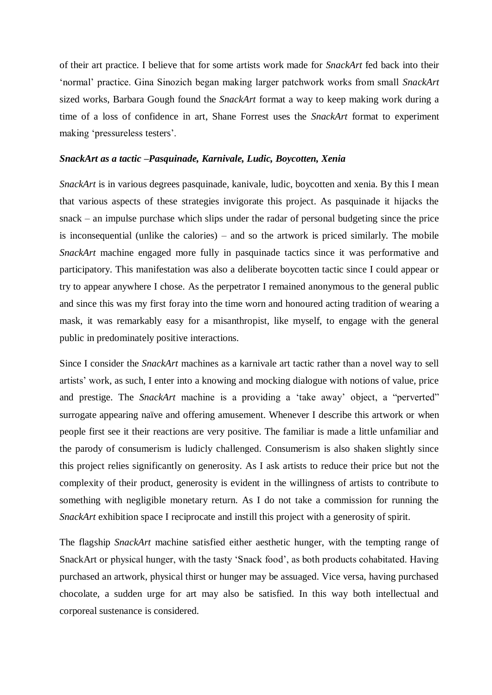of their art practice. I believe that for some artists work made for *SnackArt* fed back into their 'normal' practice. Gina Sinozich began making larger patchwork works from small *SnackArt* sized works, Barbara Gough found the *SnackArt* format a way to keep making work during a time of a loss of confidence in art, Shane Forrest uses the *SnackArt* format to experiment making 'pressureless testers'.

#### *SnackArt as a tactic –Pasquinade, Karnivale, Ludic, Boycotten, Xenia*

*SnackArt* is in various degrees pasquinade, kanivale, ludic, boycotten and xenia. By this I mean that various aspects of these strategies invigorate this project. As pasquinade it hijacks the snack – an impulse purchase which slips under the radar of personal budgeting since the price is inconsequential (unlike the calories) – and so the artwork is priced similarly. The mobile *SnackArt* machine engaged more fully in pasquinade tactics since it was performative and participatory. This manifestation was also a deliberate boycotten tactic since I could appear or try to appear anywhere I chose. As the perpetrator I remained anonymous to the general public and since this was my first foray into the time worn and honoured acting tradition of wearing a mask, it was remarkably easy for a misanthropist, like myself, to engage with the general public in predominately positive interactions.

Since I consider the *SnackArt* machines as a karnivale art tactic rather than a novel way to sell artists' work, as such, I enter into a knowing and mocking dialogue with notions of value, price and prestige. The *SnackArt* machine is a providing a 'take away' object, a "perverted" surrogate appearing naïve and offering amusement. Whenever I describe this artwork or when people first see it their reactions are very positive. The familiar is made a little unfamiliar and the parody of consumerism is ludicly challenged. Consumerism is also shaken slightly since this project relies significantly on generosity. As I ask artists to reduce their price but not the complexity of their product, generosity is evident in the willingness of artists to contribute to something with negligible monetary return. As I do not take a commission for running the *SnackArt* exhibition space I reciprocate and instill this project with a generosity of spirit.

The flagship *SnackArt* machine satisfied either aesthetic hunger, with the tempting range of SnackArt or physical hunger, with the tasty 'Snack food', as both products cohabitated. Having purchased an artwork, physical thirst or hunger may be assuaged. Vice versa, having purchased chocolate, a sudden urge for art may also be satisfied. In this way both intellectual and corporeal sustenance is considered.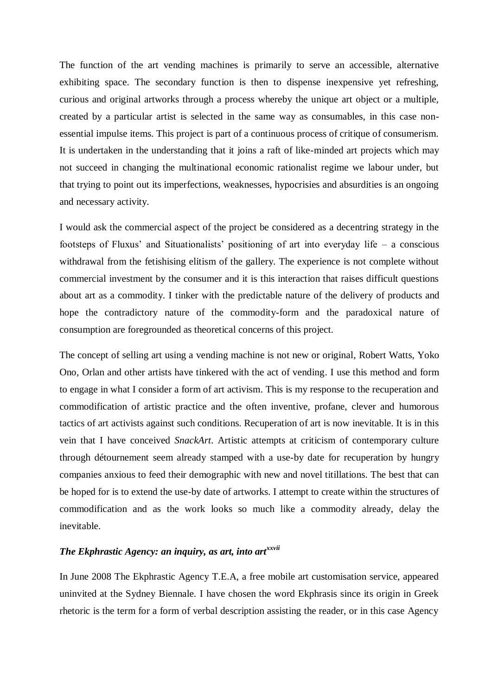The function of the art vending machines is primarily to serve an accessible, alternative exhibiting space. The secondary function is then to dispense inexpensive yet refreshing, curious and original artworks through a process whereby the unique art object or a multiple, created by a particular artist is selected in the same way as consumables, in this case nonessential impulse items. This project is part of a continuous process of critique of consumerism. It is undertaken in the understanding that it joins a raft of like-minded art projects which may not succeed in changing the multinational economic rationalist regime we labour under, but that trying to point out its imperfections, weaknesses, hypocrisies and absurdities is an ongoing and necessary activity.

I would ask the commercial aspect of the project be considered as a decentring strategy in the footsteps of Fluxus' and Situationalists' positioning of art into everyday life – a conscious withdrawal from the fetishising elitism of the gallery. The experience is not complete without commercial investment by the consumer and it is this interaction that raises difficult questions about art as a commodity. I tinker with the predictable nature of the delivery of products and hope the contradictory nature of the commodity-form and the paradoxical nature of consumption are foregrounded as theoretical concerns of this project.

The concept of selling art using a vending machine is not new or original, Robert Watts, Yoko Ono, Orlan and other artists have tinkered with the act of vending. I use this method and form to engage in what I consider a form of art activism. This is my response to the recuperation and commodification of artistic practice and the often inventive, profane, clever and humorous tactics of art activists against such conditions. Recuperation of art is now inevitable. It is in this vein that I have conceived *SnackArt*. Artistic attempts at criticism of contemporary culture through détournement seem already stamped with a use-by date for recuperation by hungry companies anxious to feed their demographic with new and novel titillations. The best that can be hoped for is to extend the use-by date of artworks. I attempt to create within the structures of commodification and as the work looks so much like a commodity already, delay the inevitable.

### *The Ekphrastic Agency: an inquiry, as art, into artxxvii*

In June 2008 The Ekphrastic Agency T.E.A, a free mobile art customisation service, appeared uninvited at the Sydney Biennale. I have chosen the word Ekphrasis since its origin in Greek rhetoric is the term for a form of verbal description assisting the reader, or in this case Agency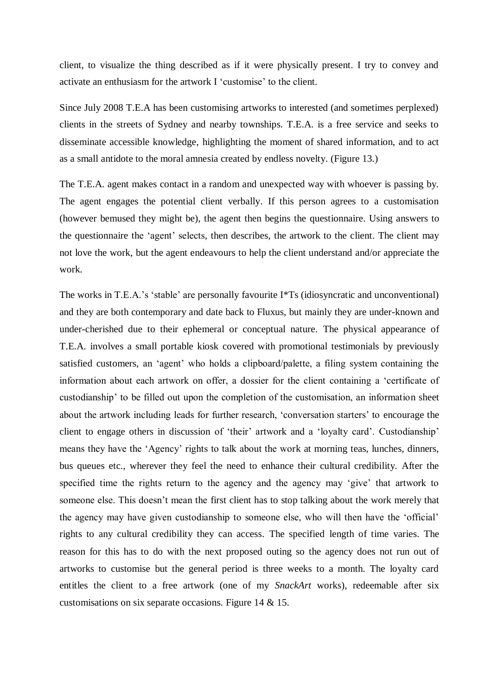client, to visualize the thing described as if it were physically present. I try to convey and activate an enthusiasm for the artwork I 'customise' to the client.

Since July 2008 T.E.A has been customising artworks to interested (and sometimes perplexed) clients in the streets of Sydney and nearby townships. T.E.A. is a free service and seeks to disseminate accessible knowledge, highlighting the moment of shared information, and to act as a small antidote to the moral amnesia created by endless novelty. (Figure 13.)

The T.E.A. agent makes contact in a random and unexpected way with whoever is passing by. The agent engages the potential client verbally. If this person agrees to a customisation (however bemused they might be), the agent then begins the questionnaire. Using answers to the questionnaire the 'agent' selects, then describes, the artwork to the client. The client may not love the work, but the agent endeavours to help the client understand and/or appreciate the work.

The works in T.E.A.'s 'stable' are personally favourite I\*Ts (idiosyncratic and unconventional) and they are both contemporary and date back to Fluxus, but mainly they are under-known and under-cherished due to their ephemeral or conceptual nature. The physical appearance of T.E.A. involves a small portable kiosk covered with promotional testimonials by previously satisfied customers, an 'agent' who holds a clipboard/palette, a filing system containing the information about each artwork on offer, a dossier for the client containing a 'certificate of custodianship' to be filled out upon the completion of the customisation, an information sheet about the artwork including leads for further research, 'conversation starters' to encourage the client to engage others in discussion of 'their' artwork and a 'loyalty card'. Custodianship' means they have the 'Agency' rights to talk about the work at morning teas, lunches, dinners, bus queues etc., wherever they feel the need to enhance their cultural credibility. After the specified time the rights return to the agency and the agency may 'give' that artwork to someone else. This doesn't mean the first client has to stop talking about the work merely that the agency may have given custodianship to someone else, who will then have the 'official' rights to any cultural credibility they can access. The specified length of time varies. The reason for this has to do with the next proposed outing so the agency does not run out of artworks to customise but the general period is three weeks to a month. The loyalty card entitles the client to a free artwork (one of my *SnackArt* works), redeemable after six customisations on six separate occasions. Figure 14 & 15.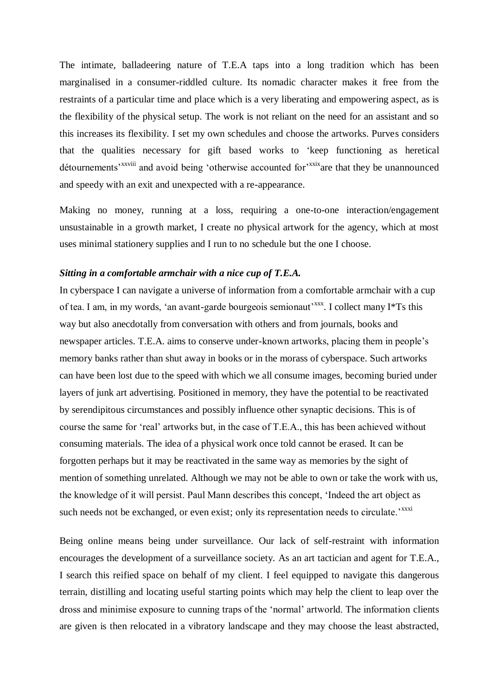The intimate, balladeering nature of T.E.A taps into a long tradition which has been marginalised in a consumer-riddled culture. Its nomadic character makes it free from the restraints of a particular time and place which is a very liberating and empowering aspect, as is the flexibility of the physical setup. The work is not reliant on the need for an assistant and so this increases its flexibility. I set my own schedules and choose the artworks. Purves considers that the qualities necessary for gift based works to 'keep functioning as heretical détournements'<sup>xxviii</sup> and avoid being 'otherwise accounted for'<sup>xxix</sup>are that they be unannounced and speedy with an exit and unexpected with a re-appearance.

Making no money, running at a loss, requiring a one-to-one interaction/engagement unsustainable in a growth market, I create no physical artwork for the agency, which at most uses minimal stationery supplies and I run to no schedule but the one I choose.

#### *Sitting in a comfortable armchair with a nice cup of T.E.A.*

In cyberspace I can navigate a universe of information from a comfortable armchair with a cup of tea. I am, in my words, 'an avant-garde bourgeois semionaut'<sup>xxx</sup>. I collect many I\*Ts this way but also anecdotally from conversation with others and from journals, books and newspaper articles. T.E.A. aims to conserve under-known artworks, placing them in people's memory banks rather than shut away in books or in the morass of cyberspace. Such artworks can have been lost due to the speed with which we all consume images, becoming buried under layers of junk art advertising. Positioned in memory, they have the potential to be reactivated by serendipitous circumstances and possibly influence other synaptic decisions. This is of course the same for 'real' artworks but, in the case of T.E.A., this has been achieved without consuming materials. The idea of a physical work once told cannot be erased. It can be forgotten perhaps but it may be reactivated in the same way as memories by the sight of mention of something unrelated. Although we may not be able to own or take the work with us, the knowledge of it will persist. Paul Mann describes this concept, 'Indeed the art object as such needs not be exchanged, or even exist; only its representation needs to circulate.'<sup>xxxi</sup>

Being online means being under surveillance. Our lack of self-restraint with information encourages the development of a surveillance society. As an art tactician and agent for T.E.A., I search this reified space on behalf of my client. I feel equipped to navigate this dangerous terrain, distilling and locating useful starting points which may help the client to leap over the dross and minimise exposure to cunning traps of the 'normal' artworld. The information clients are given is then relocated in a vibratory landscape and they may choose the least abstracted,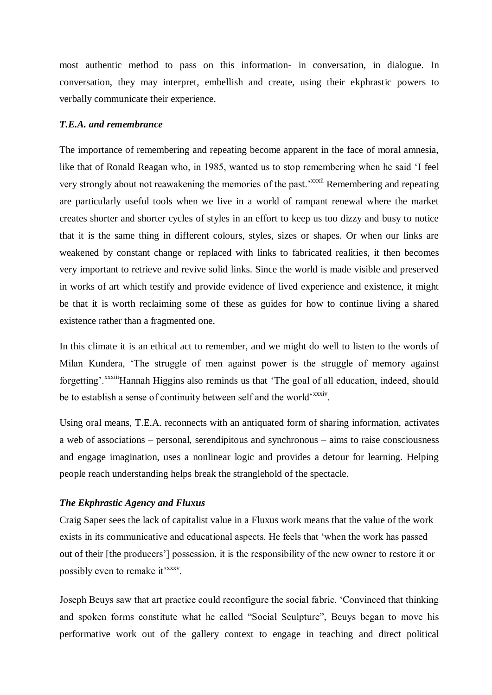most authentic method to pass on this information- in conversation, in dialogue. In conversation, they may interpret, embellish and create, using their ekphrastic powers to verbally communicate their experience.

#### *T.E.A. and remembrance*

The importance of remembering and repeating become apparent in the face of moral amnesia, like that of Ronald Reagan who, in 1985, wanted us to stop remembering when he said 'I feel very strongly about not reawakening the memories of the past.<sup>xxxii</sup> Remembering and repeating are particularly useful tools when we live in a world of rampant renewal where the market creates shorter and shorter cycles of styles in an effort to keep us too dizzy and busy to notice that it is the same thing in different colours, styles, sizes or shapes. Or when our links are weakened by constant change or replaced with links to fabricated realities, it then becomes very important to retrieve and revive solid links. Since the world is made visible and preserved in works of art which testify and provide evidence of lived experience and existence, it might be that it is worth reclaiming some of these as guides for how to continue living a shared existence rather than a fragmented one.

In this climate it is an ethical act to remember, and we might do well to listen to the words of Milan Kundera, 'The struggle of men against power is the struggle of memory against forgetting'.<sup>xxxiii</sup>Hannah Higgins also reminds us that 'The goal of all education, indeed, should be to establish a sense of continuity between self and the world'<sup>xxxiv</sup>.

Using oral means, T.E.A. reconnects with an antiquated form of sharing information, activates a web of associations – personal, serendipitous and synchronous – aims to raise consciousness and engage imagination, uses a nonlinear logic and provides a detour for learning. Helping people reach understanding helps break the stranglehold of the spectacle.

#### *The Ekphrastic Agency and Fluxus*

Craig Saper sees the lack of capitalist value in a Fluxus work means that the value of the work exists in its communicative and educational aspects. He feels that 'when the work has passed out of their [the producers'] possession, it is the responsibility of the new owner to restore it or possibly even to remake it<sup>'xxxv</sup>.

Joseph Beuys saw that art practice could reconfigure the social fabric. 'Convinced that thinking and spoken forms constitute what he called "Social Sculpture", Beuys began to move his performative work out of the gallery context to engage in teaching and direct political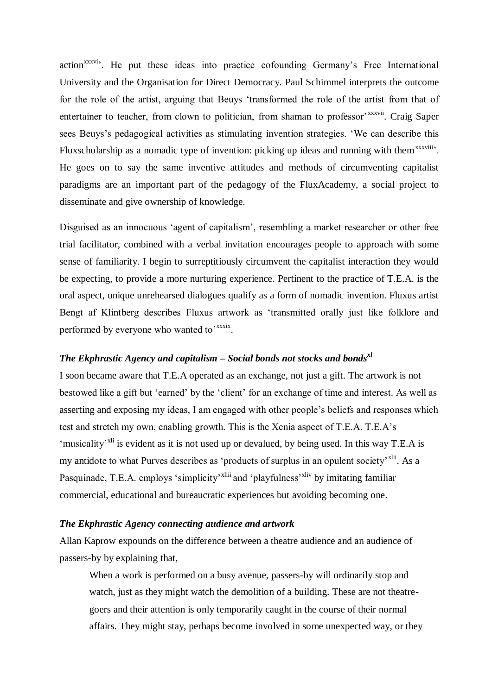action<sup>xxxvi</sup>. He put these ideas into practice cofounding Germany's Free International University and the Organisation for Direct Democracy. Paul Schimmel interprets the outcome for the role of the artist, arguing that Beuys 'transformed the role of the artist from that of entertainer to teacher, from clown to politician, from shaman to professor<sup>, xxxvii</sup>. Craig Saper sees Beuys's pedagogical activities as stimulating invention strategies. 'We can describe this Fluxscholarship as a nomadic type of invention: picking up ideas and running with them<sup>xxxviii</sup>. He goes on to say the same inventive attitudes and methods of circumventing capitalist paradigms are an important part of the pedagogy of the FluxAcademy, a social project to disseminate and give ownership of knowledge.

Disguised as an innocuous 'agent of capitalism', resembling a market researcher or other free trial facilitator, combined with a verbal invitation encourages people to approach with some sense of familiarity. I begin to surreptitiously circumvent the capitalist interaction they would be expecting, to provide a more nurturing experience. Pertinent to the practice of T.E.A. is the oral aspect, unique unrehearsed dialogues qualify as a form of nomadic invention. Fluxus artist Bengt af Klintberg describes Fluxus artwork as 'transmitted orally just like folklore and performed by everyone who wanted to<sup>'xxxix</sup>.

## *The Ekphrastic Agency and capitalism – Social bonds not stocks and bondsxl*

I soon became aware that T.E.A operated as an exchange, not just a gift. The artwork is not bestowed like a gift but 'earned' by the 'client' for an exchange of time and interest. As well as asserting and exposing my ideas, I am engaged with other people's beliefs and responses which test and stretch my own, enabling growth. This is the Xenia aspect of T.E.A. T.E.A's 'musicality'<sup>xli</sup> is evident as it is not used up or devalued, by being used. In this way T.E.A is my antidote to what Purves describes as 'products of surplus in an opulent society'<sup>xlii</sup>. As a Pasquinade, T.E.A. employs 'simplicity'<sup>xliii</sup> and 'playfulness'<sup>xliv</sup> by imitating familiar commercial, educational and bureaucratic experiences but avoiding becoming one.

#### *The Ekphrastic Agency connecting audience and artwork*

Allan Kaprow expounds on the difference between a theatre audience and an audience of passers-by by explaining that,

When a work is performed on a busy avenue, passers-by will ordinarily stop and watch, just as they might watch the demolition of a building. These are not theatregoers and their attention is only temporarily caught in the course of their normal affairs. They might stay, perhaps become involved in some unexpected way, or they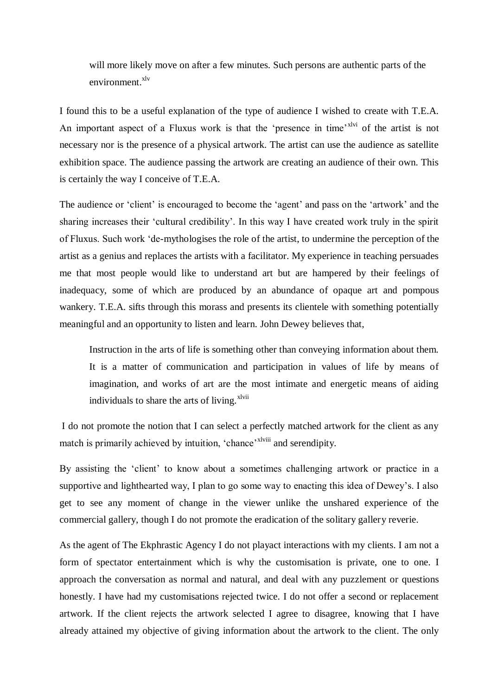will more likely move on after a few minutes. Such persons are authentic parts of the  $environment$ <sup>xlv</sup>

I found this to be a useful explanation of the type of audience I wished to create with T.E.A. An important aspect of a Fluxus work is that the 'presence in time'<sup>xlvi</sup> of the artist is not necessary nor is the presence of a physical artwork. The artist can use the audience as satellite exhibition space. The audience passing the artwork are creating an audience of their own. This is certainly the way I conceive of T.E.A.

The audience or 'client' is encouraged to become the 'agent' and pass on the 'artwork' and the sharing increases their 'cultural credibility'. In this way I have created work truly in the spirit of Fluxus. Such work 'de-mythologises the role of the artist, to undermine the perception of the artist as a genius and replaces the artists with a facilitator. My experience in teaching persuades me that most people would like to understand art but are hampered by their feelings of inadequacy, some of which are produced by an abundance of opaque art and pompous wankery. T.E.A. sifts through this morass and presents its clientele with something potentially meaningful and an opportunity to listen and learn. John Dewey believes that,

Instruction in the arts of life is something other than conveying information about them. It is a matter of communication and participation in values of life by means of imagination, and works of art are the most intimate and energetic means of aiding individuals to share the arts of living.<sup>xlvii</sup>

I do not promote the notion that I can select a perfectly matched artwork for the client as any match is primarily achieved by intuition, 'chance'<sup>xlviii</sup> and serendipity.

By assisting the 'client' to know about a sometimes challenging artwork or practice in a supportive and lighthearted way, I plan to go some way to enacting this idea of Dewey's. I also get to see any moment of change in the viewer unlike the unshared experience of the commercial gallery, though I do not promote the eradication of the solitary gallery reverie.

As the agent of The Ekphrastic Agency I do not playact interactions with my clients. I am not a form of spectator entertainment which is why the customisation is private, one to one. I approach the conversation as normal and natural, and deal with any puzzlement or questions honestly. I have had my customisations rejected twice. I do not offer a second or replacement artwork. If the client rejects the artwork selected I agree to disagree, knowing that I have already attained my objective of giving information about the artwork to the client. The only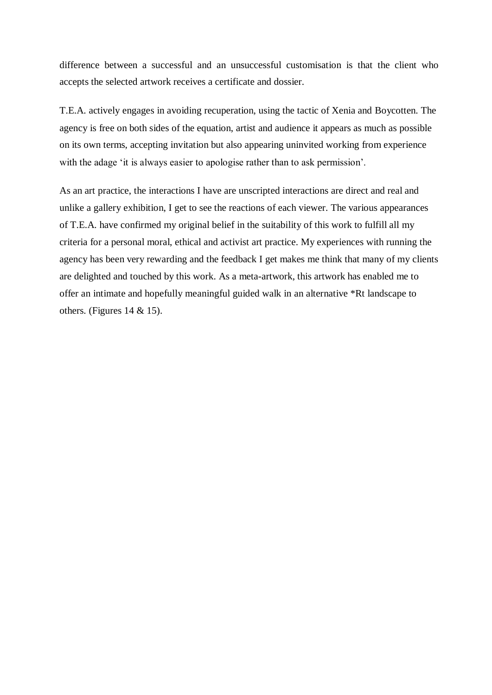difference between a successful and an unsuccessful customisation is that the client who accepts the selected artwork receives a certificate and dossier.

T.E.A. actively engages in avoiding recuperation, using the tactic of Xenia and Boycotten. The agency is free on both sides of the equation, artist and audience it appears as much as possible on its own terms, accepting invitation but also appearing uninvited working from experience with the adage 'it is always easier to apologise rather than to ask permission'.

As an art practice, the interactions I have are unscripted interactions are direct and real and unlike a gallery exhibition, I get to see the reactions of each viewer. The various appearances of T.E.A. have confirmed my original belief in the suitability of this work to fulfill all my criteria for a personal moral, ethical and activist art practice. My experiences with running the agency has been very rewarding and the feedback I get makes me think that many of my clients are delighted and touched by this work. As a meta-artwork, this artwork has enabled me to offer an intimate and hopefully meaningful guided walk in an alternative \*Rt landscape to others. (Figures  $14 \& 15$ ).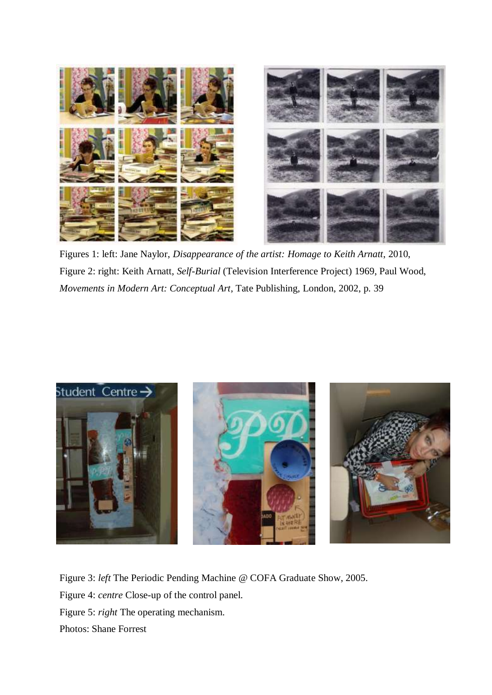

Figures 1: left: Jane Naylor, *Disappearance of the artist: Homage to Keith Arnatt*, 2010, Figure 2: right: Keith Arnatt, *Self-Burial* (Television Interference Project) 1969, Paul Wood, *Movements in Modern Art: Conceptual Art*, Tate Publishing, London, 2002, p. 39



Figure 3: *left* The Periodic Pending Machine @ COFA Graduate Show, 2005. Figure 4: *centre* Close-up of the control panel. Figure 5: *right* The operating mechanism. Photos: Shane Forrest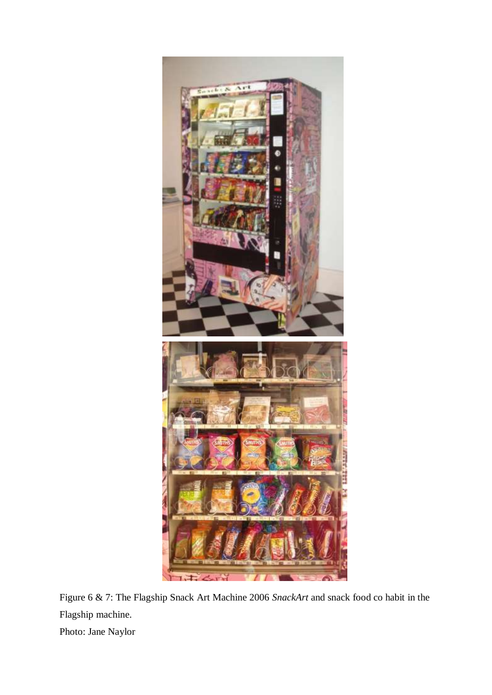

Figure 6 & 7: The Flagship Snack Art Machine 2006 *SnackArt* and snack food co habit in the Flagship machine. Photo: Jane Naylor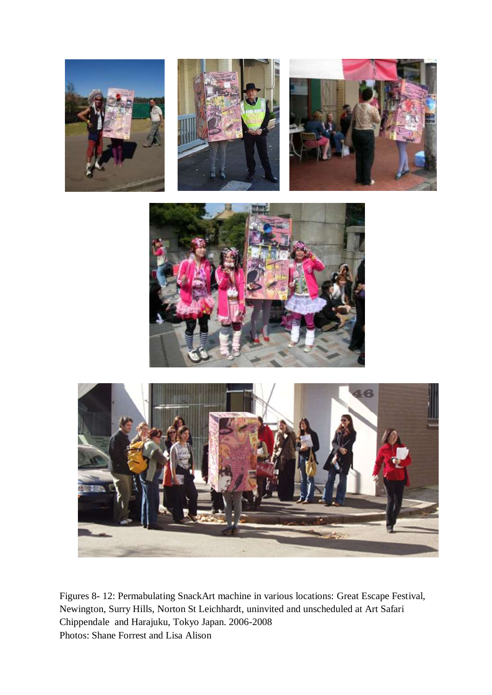









Figures 8- 12: Permabulating SnackArt machine in various locations: Great Escape Festival, Newington, Surry Hills, Norton St Leichhardt, uninvited and unscheduled at Art Safari Chippendale and Harajuku, Tokyo Japan. 2006-2008 Photos: Shane Forrest and Lisa Alison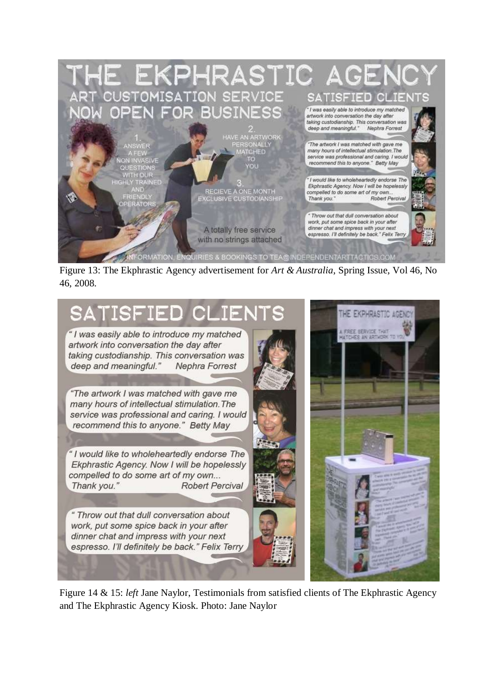

Figure 13: The Ekphrastic Agency advertisement for *Art & Australia*, Spring Issue, Vol 46, No 46, 2008.



Figure 14 & 15: *left* Jane Naylor, Testimonials from satisfied clients of The Ekphrastic Agency and The Ekphrastic Agency Kiosk. Photo: Jane Naylor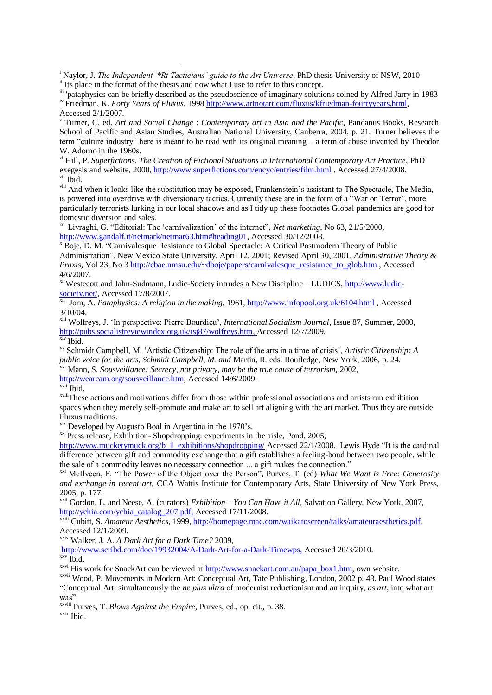vi Hill, P. *Superfictions. The Creation of Fictional Situations in International Contemporary Art Practice*, PhD exegesis and website, 2000,<http://www.superfictions.com/encyc/entries/film.html> , Accessed 27/4/2008. vii Ibid.

<sup>viii</sup> And when it looks like the substitution may be exposed, Frankenstein's assistant to The Spectacle, The Media, is powered into overdrive with diversionary tactics. Currently these are in the form of a "War on Terror", more particularly terrorists lurking in our local shadows and as I tidy up these footnotes Global pandemics are good for domestic diversion and sales.

<sup>ix</sup> Livraghi, G. "Editorial: The 'carnivalization' of the internet", *Net marketing*, No 63, 21/5/2000, [http://www.gandalf.it/netmark/netmar63.htm#heading01,](http://www.gandalf.it/netmark/netmar63.htm#heading01) Accessed 30/12/2008.

<sup>x</sup> Boje, D. M. "Carnivalesque Resistance to Global Spectacle: A Critical Postmodern Theory of Public Administration", New Mexico State University, April 12, 2001; Revised April 30, 2001. *Administrative Theory & Praxis*, Vol 23, No 3 [http://cbae.nmsu.edu/~dboje/papers/carnivalesque\\_resistance\\_to\\_glob.htm](http://cbae.nmsu.edu/~dboje/papers/carnivalesque_resistance_to_glob.htm) , Accessed 4/6/2007.

xi Westecott and Jahn-Sudmann, Ludic-Society intrudes a New Discipline – LUDICS, [http://www.ludic-](http://www.ludic-society.net/)

[society.net/,](http://www.ludic-society.net/) Accessed 17/8/2007. xii Jorn, A. *Pataphysics: A religion in the making,* 1961,<http://www.infopool.org.uk/6104.html> , Accessed 3/10/04.

xiii Wolfreys, J. 'In perspective: Pierre Bourdieu', *International Socialism Journal*, Issue 87, Summer, 2000, [http://pubs.socialistreviewindex.org.uk/isj87/wolfreys.htm,](http://pubs.socialistreviewindex.org.uk/isj87/wolfreys.htm) Accessed 12/7/2009. xiv Ibid.

xv Schmidt Campbell, M. 'Artistic Citizenship: The role of the arts in a time of crisis', *Artistic Citizenship: A public voice for the arts, Schmidt Campbell, M. and* Martin, R. eds. Routledge, New York, 2006, p. 24.

xvi Mann, S. *Sousveillance: Secrecy, not privacy, may be the true cause of terrorism,* 2002,

[http://wearcam.org/sousveillance.htm,](http://wearcam.org/sousveillance.htm) Accessed 14/6/2009.

xvii Ibid.

1

xviiiThese actions and motivations differ from those within professional associations and artists run exhibition spaces when they merely self-promote and make art to sell art aligning with the art market. Thus they are outside Fluxus traditions.

xix Developed by Augusto Boal in Argentina in the 1970's.

 $\alpha$ <sup>xx</sup> Press release, Exhibition-Shopdropping: experiments in the aisle, Pond, 2005,

[http://www.mucketymuck.org/b\\_1\\_exhibitions/shopdropping/](http://www.mucketymuck.org/b_1_exhibitions/shopdropping/) Accessed 22/1/2008. Lewis Hyde "It is the cardinal difference between gift and commodity exchange that a gift establishes a feeling-bond between two people, while the sale of a commodity leaves no necessary connection ... a gift makes the connection."

xxi McIlveen, F. "The Power of the Object over the Person", Purves, T. (ed) *What We Want is Free: Generosity and exchange in recent art*, CCA Wattis Institute for Contemporary Arts, State University of New York Press, 2005, p. 177.

xxii Gordon, L. and Neese, A. (curators) *Exhibition – You Can Have it All,* Salvation Gallery, New York, 2007, [http://ychia.com/ychia\\_catalog\\_207.pdf,](http://ychia.com/ychia_catalog_207.pdf) Accessed 17/11/2008.

xxiii Cubitt, S. *Amateur Aesthetics*, 1999, [http://homepage.mac.com/waikatoscreen/talks/amateuraesthetics.pdf,](http://homepage.mac.com/waikatoscreen/talks/amateuraesthetics.pdf)  Accessed 12/1/2009.

xxiv Walker, J. A. *A Dark Art for a Dark Time?* 2009,

[http://www.scribd.com/doc/19932004/A-Dark-Art-for-a-Dark-Timewps,](http://www.scribd.com/doc/19932004/A-Dark-Art-for-a-Dark-Timewps) Accessed 20/3/2010. xxv Ibid.

xxvi His work for SnackArt can be viewed at [http://www.snackart.com.au/papa\\_box1.htm,](http://www.snackart.com.au/papa_box1.htm) own website.

xxvii Wood, P. Movements in Modern Art: Conceptual Art, Tate Publishing, London, 2002 p. 43. Paul Wood states "Conceptual Art: simultaneously the *ne plus ultra* of modernist reductionism and an inquiry, *as art*, into what art was".

xxviii Purves, T. *Blows Against the Empire*, Purves, ed., op. cit., p. 38.

xxix Ibid.

<sup>&</sup>lt;sup>i</sup> Naylor, J. *The Independent \*Rt Tacticians' guide to the Art Universe*, PhD thesis University of NSW, 2010 <sup>ii</sup> Its place in the format of the thesis and now what I use to refer to this concept.

iii 'pataphysics can be briefly described as the pseudoscience of imaginary solutions coined by Alfred Jarry in 1983 iv Friedman, K. *Forty Years of Fluxus,* 1998 [http://www.artnotart.com/fluxus/kfriedman-fourtyyears.html,](http://www.artnotart.com/fluxus/kfriedman-fourtyyears.html)

Accessed 2/1/2007.

<sup>v</sup> Turner, C. ed. *Art and Social Change* : *Contemporary art in Asia and the Pacific,* Pandanus Books, Research School of Pacific and Asian Studies, Australian National University, Canberra, 2004, p. 21. Turner believes the term "culture industry" here is meant to be read with its original meaning – a term of abuse invented by Theodor W. Adorno in the 1960s.